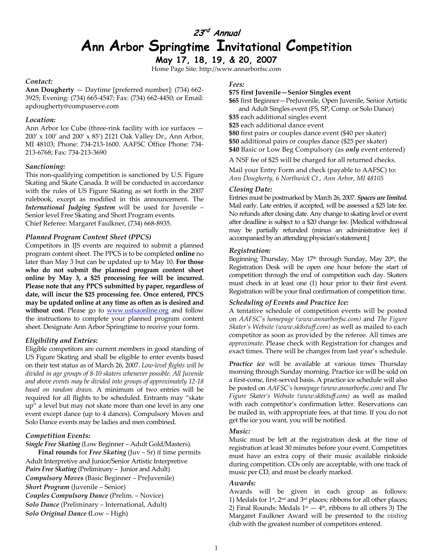# **23rd Annual Ann Arbor Springtime Invitational Competition**

**May 17, 18, 19, & 20, 2007**  Home Page Site: http://www.annarborfsc.com

#### *Contact:*

**Ann Dougherty** — Daytime [preferred number]: (734) 662- 3925; Evening: (734) 665-4547; Fax: (734) 662-4450; or Email: apdougherty@compuserve.com

### *Location:*

Ann Arbor Ice Cube (three-rink facility with ice surfaces — 200' x 100' and 200' x 85') 2121 Oak Valley Dr., Ann Arbor, MI 48103; Phone: 734-213-1600. AAFSC Office Phone: 734- 213-6768; Fax: 734-213-3690

### *Sanctioning:*

This non-qualifying competition is sanctioned by U.S. Figure Skating and Skate Canada. It will be conducted in accordance with the rules of US Figure Skating as set forth in the 2007 rulebook, except as modified in this announcement. The *International Judging System* will be used for Juvenile – Senior level Free Skating and Short Program events. Chief Referee: Margaret Faulkner, (734) 668-8935.

### *Planned Program Content Sheet (PPCS)*

Competitors in IJS events are required to submit a planned program content sheet. The PPCS is to be completed **online** no later than May 3 but can be updated up to May 10. **For those who do not submit the planned program content sheet online by May 3, a \$25 processing fee will be incurred. Please note that any PPCS submitted by paper, regardless of date, will incur the \$25 processing fee. Once entered, PPCS may be updated online at any time as often as is desired and**  without cost. Please go to **www.usfsaonline.org** and follow the instructions to complete your planned program content sheet. Designate Ann Arbor Springtime to receive your form.

### *Eligibility and Entries:*

Eligible competitors are current members in good standing of US Figure Skating and shall be eligible to enter events based on their test status as of March 26, 2007. *Low-level flights will be divided in age groups of 8-10 skaters whenever possible. All Juvenile and above events may be divided into groups of approximately 12-18 based on random draws.* A minimum of two entries will be required for all flights to be scheduled. Entrants may "skate up" a level but may not skate more than one level in any one event except dance (up to 4 dances). Compulsory Moves and Solo Dance events may be ladies and men combined.

### *Competition Events:*

*Single Free Skating* (Low Beginner – Adult Gold/Masters).

**Final rounds** for *Free Skating* (Juv – Sr) if time permits Adult Interpretive and Junior/Senior Artistic Interpretive *Pairs Free Skating* (Preliminary – Junior and Adult) *Compulsory Moves* (Basic Beginner – PreJuvenile) *Short Program* (Juvenile – Senior) *Couples Compulsory Dance* (Prelim. – Novice) *Solo Dance* (Preliminary – International, Adult) *Solo Original Dance* **(**Low – High)

### *Fees:*

**\$75 first Juvenile—Senior Singles event** 

**\$65** first Beginner—PreJuvenile, Open Juvenile, Senior Artistic and Adult Singles event (FS, SP, Comp. or Solo Dance)

**\$35** each additional singles event

**\$25** each additional dance event **\$80** first pairs or couples dance event (\$40 per skater) **\$50** additional pairs or couples dance (\$25 per skater) **\$40** Basic or Low Beg Compulsory (as *only* event entered)

A NSF fee of \$25 will be charged for all returned checks.

Mail your Entry Form and check (payable to AAFSC) to: *Ann Dougherty, 6 Northwick Ct., Ann Arbor, MI 48105*

#### *Closing Date:*

Entries must be postmarked by March 26, 2007. *Spaces are limited.* Mail early. Late entries, if accepted, will be assessed a \$25 late fee. No refunds after closing date. Any change to skating level or event after deadline is subject to a \$20 change fee. [Medical withdrawal may be partially refunded (minus an administrative fee) if accompanied by an attending physician's statement.]

### *Registration:*

Beginning Thursday, May  $17<sup>th</sup>$  through Sunday, May  $20<sup>th</sup>$ , the Registration Desk will be open one hour before the start of competition through the end of competition each day. Skaters must check in at least one (1) hour prior to their first event. Registration will be your final confirmation of competition time.

#### *Scheduling of Events and Practice Ice:*

A tentative schedule of competition events will be posted on *AAFSC's homepage (www.annarborfsc.com)* and *The Figure Skater's Website (www.sk8stuff.com)* as well as mailed to each competitor as soon as provided by the referee. All times are *approximate*. Please check with Registration for changes and exact times. There will be changes from last year's schedule.

*Practice ice* will be available at various times Thursday morning through Sunday morning. Practice ice will be sold on a first-come, first-served basis. A practice ice schedule will also be posted on *AAFSC's homepage (www.annarborfsc.com)* and *The Figure Skater's Website (www.sk8stuff.com)* as well as mailed with each competitor's confirmation letter. Reservations can be mailed in, with appropriate fees, at that time. If you do not get the ice you want, you will be notified.

### *Music:*

Music must be left at the registration desk at the time of registration at least 30 minutes before your event. Competitors must have an extra copy of their music available rinkside during competition. CDs only are acceptable, with one track of music per CD, and must be clearly marked.

### *Awards:*

Awards will be given in each group as follows: 1) Medals for  $1$ <sup>st</sup>,  $2<sup>nd</sup>$  and  $3<sup>rd</sup>$  places; ribbons for all other places; 2) Final Rounds: Medals  $1<sup>st</sup> - 4<sup>th</sup>$ , ribbons to all others 3) The Margaret Faulkner Award will be presented to the *visiting* club with the greatest number of competitors entered.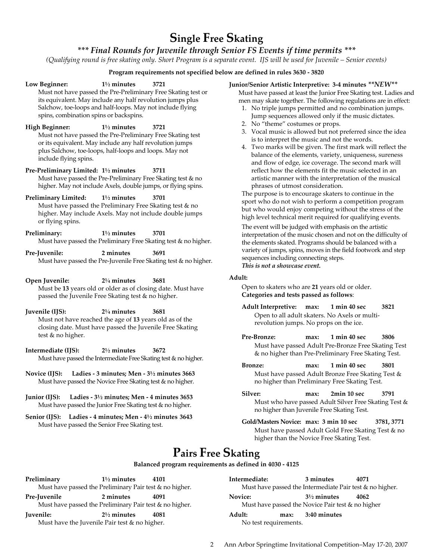# **Single Free Skating**

### *\*\*\* Final Rounds for Juvenile through Senior FS Events if time permits \*\*\**

*(Qualifying round is free skating only. Short Program is a separate event. IJS will be used for Juvenile – Senior events)* 

### **Program requirements not specified below are defined in rules 3630 - 3820**

**Low Beginner: 1½ minutes 3721**  Must not have passed the Pre-Preliminary Free Skating test or its equivalent. May include any half revolution jumps plus Salchow, toe-loops and half-loops. May not include flying spins, combination spins or backspins. **High Beginner: 1½ minutes 3721** Must not have passed the Pre-Preliminary Free Skating test or its equivalent. May include any half revolution jumps plus Salchow, toe-loops, half-loops and loops. May not include flying spins. **Pre-Preliminary Limited: 1½ minutes 3711** Must have passed the Pre-Preliminary Free Skating test & no higher. May not include Axels, double jumps, or flying spins. **Preliminary Limited: 1½ minutes 3701** Must have passed the Preliminary Free Skating test & no higher. May include Axels. May not include double jumps or flying spins. **Preliminary: 1½ minutes 3701** Must have passed the Preliminary Free Skating test & no higher. **Pre-Juvenile: 2 minutes 3691** Must have passed the Pre-Juvenile Free Skating test & no higher. **Open Juvenile: 2¼ minutes 3681** Must be **13** years old or older as of closing date. Must have passed the Juvenile Free Skating test & no higher. **Juvenile (IJS): 2¼ minutes 3681** Must not have reached the age of **13** years old as of the closing date. Must have passed the Juvenile Free Skating test & no higher. **Intermediate (IJS): 2½ minutes 3672**  Must have passed the Intermediate Free Skating test & no higher. **Novice (IJS): Ladies - 3 minutes; Men - 3½ minutes 3663**  Must have passed the Novice Free Skating test & no higher. **Adult:** 

- **Junior (IJS): Ladies 3½ minutes; Men 4 minutes 3653**  Must have passed the Junior Free Skating test & no higher.
- **Senior (IJS): Ladies 4 minutes; Men 4½ minutes 3643**  Must have passed the Senior Free Skating test.

### **Junior/Senior Artistic Interpretive: 3-4 minutes** *\*\*NEW\*\**

Must have passed at least the Junior Free Skating test. Ladies and men may skate together. The following regulations are in effect:

- 1. No triple jumps permitted and no combination jumps. Jump sequences allowed only if the music dictates.
- 2. No "theme" costumes or props.
- 3. Vocal music is allowed but not preferred since the idea is to interpret the music and not the words.
- 4. Two marks will be given. The first mark will reflect the balance of the elements, variety, uniqueness, sureness and flow of edge, ice coverage. The second mark will reflect how the elements fit the music selected in an artistic manner with the interpretation of the musical phrases of utmost consideration.

The purpose is to encourage skaters to continue in the sport who do not wish to perform a competition program but who would enjoy competing without the stress of the high level technical merit required for qualifying events.

The event will be judged with emphasis on the artistic interpretation of the music chosen and not on the difficulty of the elements skated. Programs should be balanced with a variety of jumps, spins, moves in the field footwork and step sequences including connecting steps. *This is not a showcase event.* 

Open to skaters who are **21** years old or older. **Categories and tests passed as follows**:

- **Adult Interpretive: max: 1 min 40 sec 3821** Open to all adult skaters. No Axels or multirevolution jumps. No props on the ice.
- **Pre-Bronze: max: 1 min 40 sec 3806**  Must have passed Adult Pre-Bronze Free Skating Test & no higher than Pre-Preliminary Free Skating Test.
- **Bronze: max: 1 min 40 sec 3801**  Must have passed Adult Bronze Free Skating Test & no higher than Preliminary Free Skating Test.
- **Silver: max: 2min 10 sec 3791**  Must who have passed Adult Silver Free Skating Test & no higher than Juvenile Free Skating Test.
- **Gold/Masters Novice: max: 3 min 10 sec 3781, 3771**  Must have passed Adult Gold Free Skating Test & no higher than the Novice Free Skating Test.

# **Pairs Free Skating**

### **Balanced program requirements as defined in 4030 - 4125**

**Preliminary 1½ minutes 4101**  Must have passed the Preliminary Pair test & no higher. **Pre-Juvenile 2 minutes 4091**  Must have passed the Preliminary Pair test & no higher. **Juvenile: 2½ minutes 4081**  Must have the Juvenile Pair test & no higher.

| Intermediate:                   | 3 minutes                                                                   | 4071<br>Must have passed the Intermediate Pair test & no higher. |
|---------------------------------|-----------------------------------------------------------------------------|------------------------------------------------------------------|
| Novice:                         | $3\frac{1}{2}$ minutes<br>Must have passed the Novice Pair test & no higher | 4062                                                             |
| Adult:<br>No test requirements. | max: 3:40 minutes                                                           |                                                                  |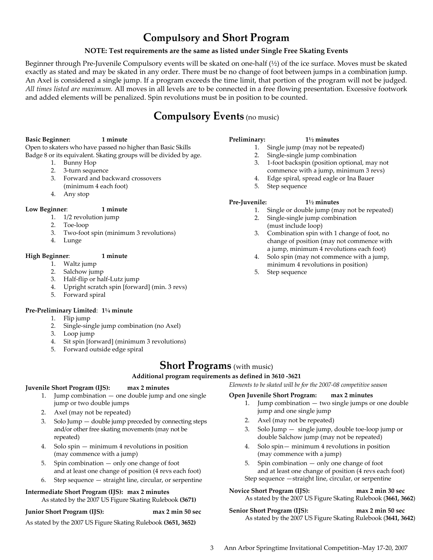# **Compulsory and Short Program**

### **NOTE: Test requirements are the same as listed under Single Free Skating Events**

Beginner through Pre-Juvenile Compulsory events will be skated on one-half (½) of the ice surface. Moves must be skated exactly as stated and may be skated in any order. There must be no change of foot between jumps in a combination jump. An Axel is considered a single jump. If a program exceeds the time limit, that portion of the program will not be judged*. All times listed are maximum.* All moves in all levels are to be connected in a free flowing presentation. Excessive footwork and added elements will be penalized. Spin revolutions must be in position to be counted.

# **Compulsory Events** (no music)

### **Basic Beginner: 1 minute**

Open to skaters who have passed no higher than Basic Skills Badge 8 or its equivalent. Skating groups will be divided by age.

- 1. Bunny Hop
- 2. 3-turn sequence
- 3. Forward and backward crossovers
- (minimum 4 each foot)
- 4. Any stop

### **Low Beginner**: **1 minute**

- 1. 1/2 revolution jump
- 2. Toe-loop
- 3. Two-foot spin (minimum 3 revolutions)
- 4. Lunge

### **High Beginner**: **1 minute**

- 1. Waltz jump
- 2. Salchow jump
- 3. Half-flip or half-Lutz jump
- 4. Upright scratch spin [forward] (min. 3 revs)
- 5. Forward spiral

### **Pre-Preliminary Limited**: **1¼ minute**

- 1. Flip jump
- 2. Single-single jump combination (no Axel)
- 3. Loop jump
- 4. Sit spin [forward] (minimum 3 revolutions)
- 5. Forward outside edge spiral

## **Short Programs** (with music)

**Additional program requirements as defined in 3610 -3621** 

### **Juvenile Short Program (IJS): max 2 minutes**

- 1. Jump combination one double jump and one single jump or two double jumps
- 2. Axel (may not be repeated)
- 3. Solo Jump double jump preceded by connecting steps and/or other free skating movements (may not be repeated)
- 4. Solo spin minimum 4 revolutions in position (may commence with a jump)
- 5. Spin combination only one change of foot and at least one change of position (4 revs each foot)
- 6. Step sequence straight line, circular, or serpentine

### **Intermediate Short Program (IJS): max 2 minutes**

## As stated by the 2007 US Figure Skating Rulebook **(3671)**

**Junior Short Program (IJS): max 2 min 50 sec** 

As stated by the 2007 US Figure Skating Rulebook **(3651, 3652)**

### **Preliminary: 1½ minutes**

- 1. Single jump (may not be repeated)
- 2. Single-single jump combination
- 3. 1-foot backspin (position optional, may not commence with a jump, minimum 3 revs)
- 4. Edge spiral, spread eagle or Ina Bauer
- 5. Step sequence

### **Pre-Juvenile: 1½ minutes**

- 1. Single or double jump (may not be repeated)
- 2. Single-single jump combination (must include loop)
- 3. Combination spin with 1 change of foot, no change of position (may not commence with a jump, minimum 4 revolutions each foot)
- 4. Solo spin (may not commence with a jump, minimum 4 revolutions in position)
- 5. Step sequence

# *Elements to be skated will be for the 2007-08 competitive season*

### **Open Juvenile Short Program: max 2 minutes**

- 1. Jump combination two single jumps or one double jump and one single jump
- 2. Axel (may not be repeated)
- 3. Solo Jump single jump, double toe-loop jump or double Salchow jump (may not be repeated)
- 4. Solo spin— minimum 4 revolutions in position (may commence with a jump)
- 5. Spin combination only one change of foot and at least one change of position (4 revs each foot) Step sequence —straight line, circular, or serpentine

**Novice Short Program (IJS): max 2 min 30 sec**  As stated by the 2007 US Figure Skating Rulebook (**3661, 3662**)

**Senior Short Program (IJS): max 2 min 50 sec**  As stated by the 2007 US Figure Skating Rulebook (**3641, 3642**)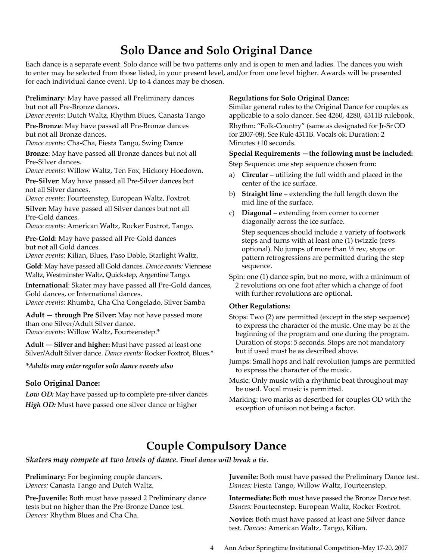# **Solo Dance and Solo Original Dance**

Each dance is a separate event. Solo dance will be two patterns only and is open to men and ladies. The dances you wish to enter may be selected from those listed, in your present level, and/or from one level higher. Awards will be presented for each individual dance event. Up to 4 dances may be chosen.

**Preliminary**: May have passed all Preliminary dances but not all Pre-Bronze dances.

*Dance events:* Dutch Waltz, Rhythm Blues, Canasta Tango

**Pre-Bronze**: May have passed all Pre-Bronze dances but not all Bronze dances.

*Dance events:* Cha-Cha, Fiesta Tango, Swing Dance

**Bronze**: May have passed all Bronze dances but not all Pre-Silver dances.

*Dance events:* Willow Waltz, Ten Fox, Hickory Hoedown.

**Pre-Silver**: May have passed all Pre-Silver dances but not all Silver dances.

*Dance events:* Fourteenstep, European Waltz, Foxtrot.

**Silver:** May have passed all Silver dances but not all Pre-Gold dances.

*Dance events:* American Waltz, Rocker Foxtrot, Tango.

**Pre-Gold**: May have passed all Pre-Gold dances but not all Gold dances.

*Dance events:* Kilian, Blues, Paso Doble, Starlight Waltz.

**Gold**: May have passed all Gold dances. *Dance events:* Viennese Waltz, Westminster Waltz, Quickstep, Argentine Tango.

**International**: Skater may have passed all Pre-Gold dances, Gold dances, or International dances.

*Dance events:* Rhumba, Cha Cha Congelado, Silver Samba

**Adult — through Pre Silver:** May not have passed more than one Silver/Adult Silver dance. *Dance events:* Willow Waltz, Fourteenstep.\*

**Adult — Silver and higher:** Must have passed at least one Silver/Adult Silver dance. *Dance events:* Rocker Foxtrot, Blues.\*

### *\*Adults may enter regular solo dance events also*

### **Solo Original Dance:**

*Low OD:* May have passed up to complete pre-silver dances *High OD:* Must have passed one silver dance or higher

### **Regulations for Solo Original Dance:**

Similar general rules to the Original Dance for couples as applicable to a solo dancer. See 4260, 4280, 4311B rulebook.

Rhythm: "Folk-Country" (same as designated for Jr-Sr OD for 2007-08). See Rule 4311B. Vocals ok. Duration: 2 Minutes +10 seconds.

### **Special Requirements —the following must be included:**

Step Sequence: one step sequence chosen from:

- a) **Circular**  utilizing the full width and placed in the center of the ice surface.
- b) **Straight line** extending the full length down the mid line of the surface.
- c) **Diagonal** extending from corner to corner diagonally across the ice surface.

Step sequences should include a variety of footwork steps and turns with at least one (1) twizzle (revs optional). No jumps of more than ½ rev, stops or pattern retrogressions are permitted during the step sequence.

Spin: one (1) dance spin, but no more, with a minimum of 2 revolutions on one foot after which a change of foot with further revolutions are optional.

### **Other Regulations:**

- Stops: Two (2) are permitted (except in the step sequence) to express the character of the music. One may be at the beginning of the program and one during the program. Duration of stops: 5 seconds. Stops are not mandatory but if used must be as described above.
- Jumps: Small hops and half revolution jumps are permitted to express the character of the music.
- Music: Only music with a rhythmic beat throughout may be used. Vocal music is permitted.
- Marking: two marks as described for couples OD with the exception of unison not being a factor.

# **Couple Compulsory Dance**

*Skaters may compete at two levels of dance. Final dance will break a tie.*

**Preliminary:** For beginning couple dancers. *Dances:* Canasta Tango and Dutch Waltz.

**Pre-Juvenile:** Both must have passed 2 Preliminary dance tests but no higher than the Pre-Bronze Dance test. *Dances:* Rhythm Blues and Cha Cha.

**Juvenile:** Both must have passed the Preliminary Dance test. *Dances:* Fiesta Tango, Willow Waltz, Fourteenstep.

**Intermediate:** Both must have passed the Bronze Dance test. *Dances:* Fourteenstep, European Waltz, Rocker Foxtrot.

**Novice:** Both must have passed at least one Silver dance test. *Dances:* American Waltz, Tango, Kilian.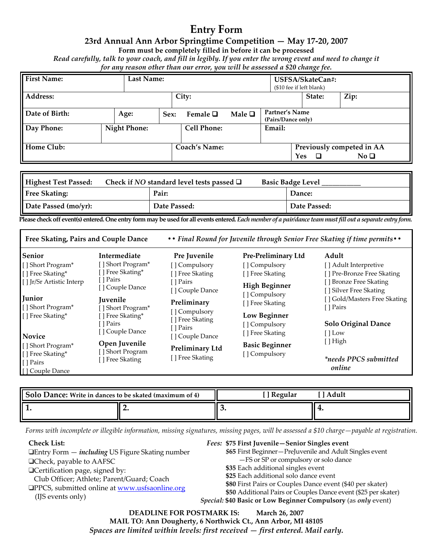# **Entry Form**

### **23rd Annual Ann Arbor Springtime Competition — May 17-20, 2007**

**Form must be completely filled in before it can be processed** 

*Read carefully, talk to your coach, and fill in legibly. If you enter the wrong event and need to change it for any reason other than our error, you will be assessed a \$20 change fee.* 

| <b>First Name:</b> | <b>Last Name:</b>   |      |                      |             |                                      | USFSA/SkateCan#:<br>(\$10 fee if left blank) |                                                        |
|--------------------|---------------------|------|----------------------|-------------|--------------------------------------|----------------------------------------------|--------------------------------------------------------|
| Address:           |                     |      | City:                |             |                                      | State:                                       | Zip:                                                   |
| Date of Birth:     | Age:                | Sex: | Female $\Box$        | Male $\Box$ | Partner's Name<br>(Pairs/Dance only) |                                              |                                                        |
| Day Phone:         | <b>Night Phone:</b> |      | <b>Cell Phone:</b>   |             | Email:                               |                                              |                                                        |
| Home Club:         |                     |      | <b>Coach's Name:</b> |             |                                      | <b>Yes</b><br>□                              | Previously competed in AA<br>$\rm No~\mathbf{\square}$ |

| Highest Test Passed: | Check if NO standard level tests passed $\square$<br><b>Basic Badge Level</b> |  |              |  |
|----------------------|-------------------------------------------------------------------------------|--|--------------|--|
| <b>Free Skating:</b> | Pair:                                                                         |  | Dance:       |  |
| Date Passed (mo/yr): | Date Passed:                                                                  |  | Date Passed: |  |

**Please check off event(s) entered. One entry form may be used for all events entered***. Each member of a pair/dance team must fill out a separate entry form.* 

| Free Skating, Pairs and Couple Dance              |                                                  | • • Final Round for Juvenile through Senior Free Skating if time permits • • |                                    |                                                    |  |
|---------------------------------------------------|--------------------------------------------------|------------------------------------------------------------------------------|------------------------------------|----------------------------------------------------|--|
| Senior                                            | <b>Intermediate</b>                              | Pre Juvenile                                                                 | Pre-Preliminary Ltd                | Adult                                              |  |
| [] Short Program*                                 | [] Short Program*                                | [] Compulsory                                                                | [] Compulsory                      | [ ] Adult Interpretive                             |  |
| [] Free Skating*                                  | [] Free Skating*                                 | [ ] Free Skating                                                             | [] Free Skating                    | [] Pre-Bronze Free Skating                         |  |
| [ ] Jr/Sr Artistic Interp                         | [ ] Pairs<br>[] Couple Dance                     | I l Pairs<br>[] Couple Dance                                                 | <b>High Beginner</b>               | [ ] Bronze Free Skating<br>[ ] Silver Free Skating |  |
| Junior<br>[] Short Program*                       | <b>Iuvenile</b><br>[] Short Program*             | Preliminary                                                                  | [ ] Compulsory<br>[ ] Free Skating | [] Gold/Masters Free Skating<br>[ ] Pairs          |  |
| [] Free Skating*                                  | [] Free Skating*<br>I l Pairs<br>[] Couple Dance | [ ] Compulsory<br>[ ] Free Skating<br>[ ] Pairs                              | Low Beginner<br>[] Compulsory      | <b>Solo Original Dance</b>                         |  |
| <b>Novice</b>                                     |                                                  | [ ] Couple Dance                                                             | [ ] Free Skating                   | $[$   Low                                          |  |
| [] Short Program*                                 | Open Juvenile                                    | <b>Preliminary Ltd</b>                                                       | <b>Basic Beginner</b>              | $[ ]$ High                                         |  |
| [ ] Free Skating*<br>[ ] Pairs<br>[] Couple Dance | [] Short Program<br>[] Free Skating              | [ ] Free Skating                                                             | [ ] Compulsory                     | <i>*needs PPCS submitted</i><br>online             |  |

| Solo Dance: Write in dances to be skated (maximum of 4) |  | <sup>1</sup> Regular<br>' Adult |  |  |
|---------------------------------------------------------|--|---------------------------------|--|--|
|                                                         |  |                                 |  |  |

*Forms with incomplete or illegible information, missing signatures, missing pages, will be assessed a \$10 charge—payable at registration.* 

**Check List:**  ❑Entry Form — *including* US Figure Skating number ❑Check, payable to AAFSC ❑Certification page, signed by: Club Officer; Athlete; Parent/Guard; Coach ❑PPCS, submitted online at www.usfsaonline.org (IJS events only)

### *Fees:* **\$75 First Juvenile—Senior Singles event**

- *\$***65** First Beginner—PreJuvenile and Adult Singles event —FS or SP or compulsory or solo dance
- **\$35** Each additional singles event
- **\$25** Each additional solo dance event
- 
- **\$80** First Pairs or Couples Dance event (\$40 per skater) **\$50** Additional Pairs or Couples Dance event (\$25 per skater)
- *Special:* **\$40 Basic or Low Beginner Compulsory** (as *only* event)

**DEADLINE FOR POSTMARK IS: March 26, 2007 MAIL TO: Ann Dougherty, 6 Northwick Ct., Ann Arbor, MI 48105**  *Spaces are limited within levels: first received — first entered. Mail early.*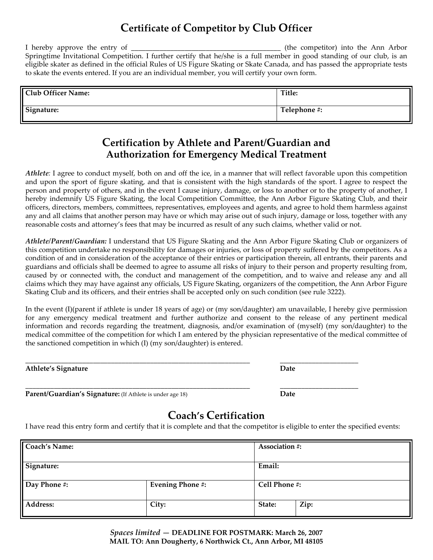# **Certificate of Competitor by Club Officer**

I hereby approve the entry of the competitor into the Ann Arbor Springtime Invitational Competition. I further certify that he/she is a full member in good standing of our club, is an eligible skater as defined in the official Rules of US Figure Skating or Skate Canada, and has passed the appropriate tests to skate the events entered. If you are an individual member, you will certify your own form.

| <b>Club Officer Name:</b> | Title:       |
|---------------------------|--------------|
| Signature:                | Telephone #: |

# **Certification by Athlete and Parent/Guardian and Authorization for Emergency Medical Treatment**

*Athlete:* I agree to conduct myself, both on and off the ice, in a manner that will reflect favorable upon this competition and upon the sport of figure skating, and that is consistent with the high standards of the sport. I agree to respect the person and property of others, and in the event I cause injury, damage, or loss to another or to the property of another, I hereby indemnify US Figure Skating, the local Competition Committee, the Ann Arbor Figure Skating Club, and their officers, directors, members, committees, representatives, employees and agents, and agree to hold them harmless against any and all claims that another person may have or which may arise out of such injury, damage or loss, together with any reasonable costs and attorney's fees that may be incurred as result of any such claims, whether valid or not.

*Athlete/Parent/Guardian:* I understand that US Figure Skating and the Ann Arbor Figure Skating Club or organizers of this competition undertake no responsibility for damages or injuries, or loss of property suffered by the competitors. As a condition of and in consideration of the acceptance of their entries or participation therein, all entrants, their parents and guardians and officials shall be deemed to agree to assume all risks of injury to their person and property resulting from, caused by or connected with, the conduct and management of the competition, and to waive and release any and all claims which they may have against any officials, US Figure Skating, organizers of the competition, the Ann Arbor Figure Skating Club and its officers, and their entries shall be accepted only on such condition (see rule 3222).

In the event (I)(parent if athlete is under 18 years of age) or (my son/daughter) am unavailable, I hereby give permission for any emergency medical treatment and further authorize and consent to the release of any pertinent medical information and records regarding the treatment, diagnosis, and/or examination of (myself) (my son/daughter) to the medical committee of the competition for which I am entered by the physician representative of the medical committee of the sanctioned competition in which (I) (my son/daughter) is entered.

| Athlete's<br>. . |  |
|------------------|--|

\_\_\_\_\_\_\_\_\_\_\_\_\_\_\_\_\_\_\_\_\_\_\_\_\_\_\_\_\_\_\_\_\_\_\_\_\_\_\_\_\_\_\_\_\_\_\_\_\_\_\_\_\_\_\_\_\_\_\_\_\_\_\_ \_\_\_\_\_\_\_\_\_\_\_\_\_\_\_\_\_\_\_\_\_\_ **Parent/Guardian's Signature:** (If Athlete is under age 18) **Date** 

# **Coach's Certification**

I have read this entry form and certify that it is complete and that the competitor is eligible to enter the specified events:

| <b>Coach's Name:</b> |                         | <b>Association #:</b> |               |  |  |
|----------------------|-------------------------|-----------------------|---------------|--|--|
| Signature:           |                         | Email:                |               |  |  |
| Day Phone #:         | <b>Evening Phone #:</b> |                       | Cell Phone #: |  |  |
| Address:             | City:                   | State:                | Zip:          |  |  |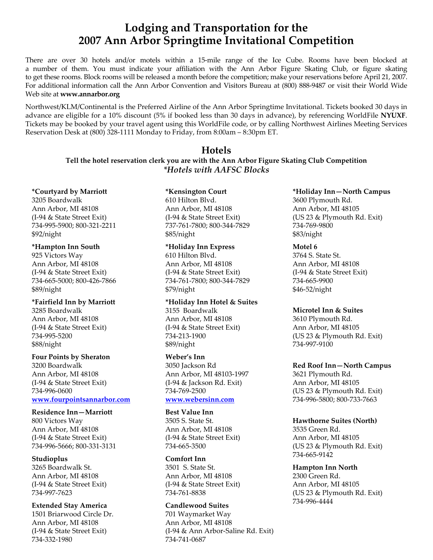# **Lodging and Transportation for the 2007 Ann Arbor Springtime Invitational Competition**

There are over 30 hotels and/or motels within a 15-mile range of the Ice Cube. Rooms have been blocked at a number of them. You must indicate your affiliation with the Ann Arbor Figure Skating Club, or figure skating to get these rooms. Block rooms will be released a month before the competition; make your reservations before April 21, 2007. For additional information call the Ann Arbor Convention and Visitors Bureau at (800) 888-9487 or visit their World Wide Web site at **www.annarbor.org** 

Northwest/KLM/Continental is the Preferred Airline of the Ann Arbor Springtime Invitational. Tickets booked 30 days in advance are eligible for a 10% discount (5% if booked less than 30 days in advance), by referencing WorldFile **NYUXF**. Tickets may be booked by your travel agent using this WorldFile code, or by calling Northwest Airlines Meeting Services Reservation Desk at (800) 328-1111 Monday to Friday, from 8:00am – 8:30pm ET.

### **Hotels**

**Tell the hotel reservation clerk you are with the Ann Arbor Figure Skating Club Competition**  *\*Hotels with AAFSC Blocks*

**\*Courtyard by Marriott**  3205 Boardwalk

Ann Arbor, MI 48108 (I-94 & State Street Exit) 734-995-5900; 800-321-2211 \$92/night

### **\*Hampton Inn South**

925 Victors Way Ann Arbor, MI 48108 (I-94 & State Street Exit) 734-665-5000; 800-426-7866 \$89/night

## **\*Fairfield Inn by Marriott**

3285 Boardwalk Ann Arbor, MI 48108 (I-94 & State Street Exit) 734-995-5200 \$88/night

### **Four Points by Sheraton**

3200 Boardwalk Ann Arbor, MI 48108 (I-94 & State Street Exit) 734-996-0600 **www.fourpointsannarbor.com**

### **Residence Inn—Marriott**

800 Victors Way Ann Arbor, MI 48108 (I-94 & State Street Exit) 734-996-5666; 800-331-3131

### **Studioplus**

3265 Boardwalk St. Ann Arbor, MI 48108 (I-94 & State Street Exit) 734-997-7623

**Extended Stay America**  1501 Briarwood Circle Dr. Ann Arbor, MI 48108 (I-94 & State Street Exit) 734-332-1980

### **\*Kensington Court**

610 Hilton Blvd. Ann Arbor, MI 48108 (I-94 & State Street Exit) 737-761-7800; 800-344-7829 \$85/night

### **\*Holiday Inn Express**

610 Hilton Blvd. Ann Arbor, MI 48108 (I-94 & State Street Exit) 734-761-7800; 800-344-7829 \$79/night

**\*Holiday Inn Hotel & Suites**  3155 Boardwalk Ann Arbor, MI 48108 (I-94 & State Street Exit) 734-213-1900 \$89/night

### **Weber's Inn**

3050 Jackson Rd Ann Arbor, MI 48103-1997 (I-94 & Jackson Rd. Exit) 734-769-2500 **www.webersinn.com**

### **Best Value Inn**

3505 S. State St. Ann Arbor, MI 48108 (I-94 & State Street Exit) 734-665-3500

### **Comfort Inn**

3501 S. State St. Ann Arbor, MI 48108 (I-94 & State Street Exit) 734-761-8838

### **Candlewood Suites**

701 Waymarket Way Ann Arbor, MI 48108 (I-94 & Ann Arbor-Saline Rd. Exit) 734-741-0687

### **\*Holiday Inn—North Campus**  3600 Plymouth Rd. Ann Arbor, MI 48105 (US 23 & Plymouth Rd. Exit)

734-769-9800 \$83/night

### **Motel 6**

3764 S. State St. Ann Arbor, MI 48108 (I-94 & State Street Exit) 734-665-9900 \$46-52/night

### **Microtel Inn & Suites**

3610 Plymouth Rd. Ann Arbor, MI 48105 (US 23 & Plymouth Rd. Exit) 734-997-9100

### **Red Roof Inn—North Campus**

3621 Plymouth Rd. Ann Arbor, MI 48105 (US 23 & Plymouth Rd. Exit) 734-996-5800; 800-733-7663

### **Hawthorne Suites (North)**

3535 Green Rd. Ann Arbor, MI 48105 (US 23 & Plymouth Rd. Exit) 734-665-9142

### **Hampton Inn North**  2300 Green Rd.

Ann Arbor, MI 48105 (US 23 & Plymouth Rd. Exit) 734-996-4444